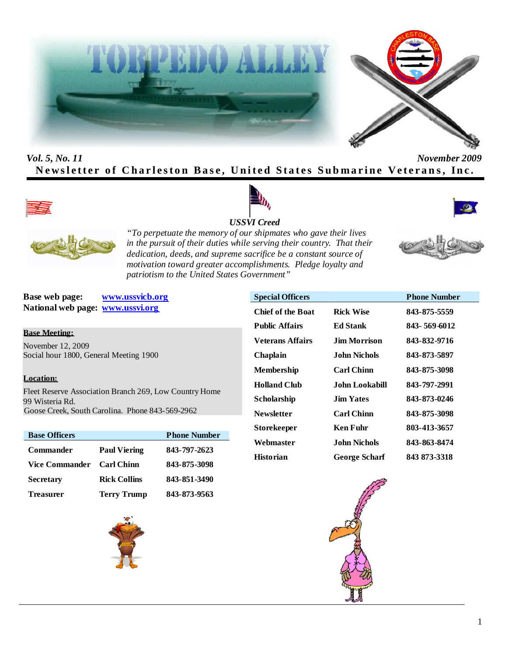



# *Vol. 5, No. 11 November 2009* **Newsletter of Charleston Base, United States Submarine Veterans, Inc.**









*"To perpetuate the memory of our shipmates who gave their lives in the pursuit of their duties while serving their country. That their dedication, deeds, and supreme sacrifice be a constant source of motivation toward greater accomplishments. Pledge loyalty and patriotism to the United States Government"*

**Base web page: www.ussvicb.org National web page: www.ussvi.org**

## **Base Meeting:**

November 12, 2009 Social hour 1800, General Meeting 1900

### **Location:**

Fleet Reserve Association Branch 269, Low Country Home 99 Wisteria Rd. Goose Creek, South Carolina. Phone 843-569-2962

| <b>Base Officers</b>  |                     | <b>Phone Number</b> |
|-----------------------|---------------------|---------------------|
| <b>Commander</b>      | <b>Paul Viering</b> | 843-797-2623        |
| <b>Vice Commander</b> | <b>Carl Chinn</b>   | 843-875-3098        |
| <b>Secretary</b>      | <b>Rick Collins</b> | 843-851-3490        |
| <b>Treasurer</b>      | <b>Terry Trump</b>  | 843-873-9563        |



| <b>Special Officers</b>  |                      | <b>Phone Number</b> |
|--------------------------|----------------------|---------------------|
| <b>Chief of the Boat</b> | <b>Rick Wise</b>     | 843-875-5559        |
| <b>Public Affairs</b>    | <b>Ed Stank</b>      | 843-569-6012        |
| Veterans Affairs         | Jim Morrison.        | 843-832-9716        |
| Chaplain                 | John Nichols         | 843-873-5897        |
| Membership               | <b>Carl Chinn</b>    | 843-875-3098        |
| <b>Holland Club</b>      | John Lookabill.      | 843-797-2991        |
| Scholarship              | <b>Jim Yates</b>     | 843-873-0246        |
| <b>Newsletter</b>        | <b>Carl Chinn</b>    | 843-875-3098        |
| <b>Storekeeper</b>       | Ken Fuhr             | 803-413-3657        |
| Webmaster                | John Nichols         | 843-863-8474        |
| <b>Historian</b>         | <b>George Scharf</b> | 843 873-3318        |





1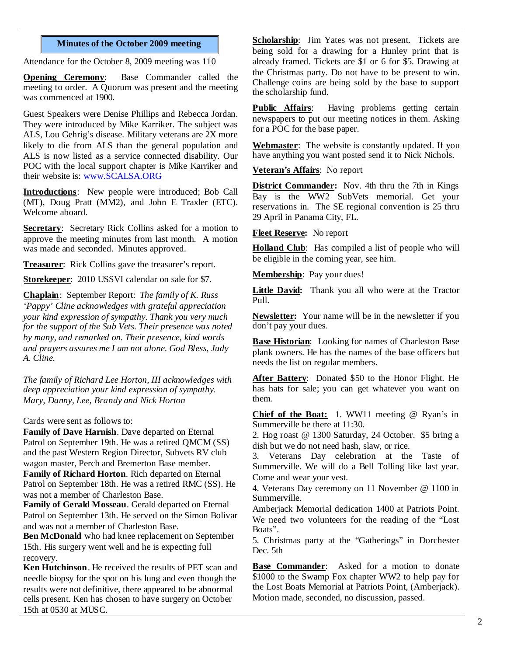### **Minutes of the October 2009 meeting**

Attendance for the October 8, 2009 meeting was 110

**Opening Ceremony**: Base Commander called the meeting to order. A Quorum was present and the meeting was commenced at 1900.

Guest Speakers were Denise Phillips and Rebecca Jordan. They were introduced by Mike Karriker. The subject was ALS, Lou Gehrig's disease. Military veterans are 2X more likely to die from ALS than the general population and ALS is now listed as a service connected disability. Our POC with the local support chapter is Mike Karriker and their website is: www.SCALSA.ORG

**Introductions**: New people were introduced; Bob Call (MT), Doug Pratt (MM2), and John E Traxler (ETC). Welcome aboard.

**Secretary**: Secretary Rick Collins asked for a motion to approve the meeting minutes from last month. A motion was made and seconded. Minutes approved.

**Treasurer**: Rick Collins gave the treasurer's report.

**Storekeeper**: 2010 USSVI calendar on sale for \$7.

**Chaplain**: September Report: *The family of K. Russ 'Pappy' Cline acknowledges with grateful appreciation your kind expression of sympathy. Thank you very much for the support of the Sub Vets. Their presence was noted by many, and remarked on. Their presence, kind words and prayers assures me I am not alone. God Bless, Judy A. Cline.*

*The family of Richard Lee Horton, III acknowledges with deep appreciation your kind expression of sympathy. Mary, Danny, Lee, Brandy and Nick Horton*

Cards were sent as follows to:

**Family of Dave Harnish**. Dave departed on Eternal Patrol on September 19th. He was a retired QMCM (SS) and the past Western Region Director, Subvets RV club wagon master, Perch and Bremerton Base member. **Family of Richard Horton**. Rich departed on Eternal Patrol on September 18th. He was a retired RMC (SS). He was not a member of Charleston Base.

**Family of Gerald Mosseau**. Gerald departed on Eternal Patrol on September 13th. He served on the Simon Bolivar and was not a member of Charleston Base.

**Ben McDonald** who had knee replacement on September 15th. His surgery went well and he is expecting full recovery.

**Ken Hutchinson**. He received the results of PET scan and needle biopsy for the spot on his lung and even though the results were not definitive, there appeared to be abnormal cells present. Ken has chosen to have surgery on October 15th at 0530 at MUSC.

**Scholarship**: Jim Yates was not present. Tickets are being sold for a drawing for a Hunley print that is already framed. Tickets are \$1 or 6 for \$5. Drawing at the Christmas party. Do not have to be present to win. Challenge coins are being sold by the base to support the scholarship fund.

**Public Affairs**: Having problems getting certain newspapers to put our meeting notices in them. Asking for a POC for the base paper.

**Webmaster**: The website is constantly updated. If you have anything you want posted send it to Nick Nichols.

**Veteran's Affairs**: No report

**District Commander:** Nov. 4th thru the 7th in Kings Bay is the WW2 SubVets memorial. Get your reservations in. The SE regional convention is 25 thru 29 April in Panama City, FL.

**Fleet Reserve:** No report

Holland Club: Has compiled a list of people who will be eligible in the coming year, see him.

**Membership**: Pay your dues!

**Little David:** Thank you all who were at the Tractor Pull.

**Newsletter:** Your name will be in the newsletter if you don't pay your dues.

**Base Historian**: Looking for names of Charleston Base plank owners. He has the names of the base officers but needs the list on regular members.

**After Battery**: Donated \$50 to the Honor Flight. He has hats for sale; you can get whatever you want on them.

**Chief of the Boat:** 1. WW11 meeting @ Ryan's in Summerville be there at 11:30.

2. Hog roast @ 1300 Saturday, 24 October. \$5 bring a dish but we do not need hash, slaw, or rice.

3. Veterans Day celebration at the Taste of Summerville. We will do a Bell Tolling like last year. Come and wear your vest.

4. Veterans Day ceremony on 11 November @ 1100 in Summerville.

Amberjack Memorial dedication 1400 at Patriots Point. We need two volunteers for the reading of the "Lost Boats".

5. Christmas party at the "Gatherings" in Dorchester Dec. 5th

**Base Commander**: Asked for a motion to donate \$1000 to the Swamp Fox chapter WW2 to help pay for the Lost Boats Memorial at Patriots Point, (Amberjack). Motion made, seconded, no discussion, passed.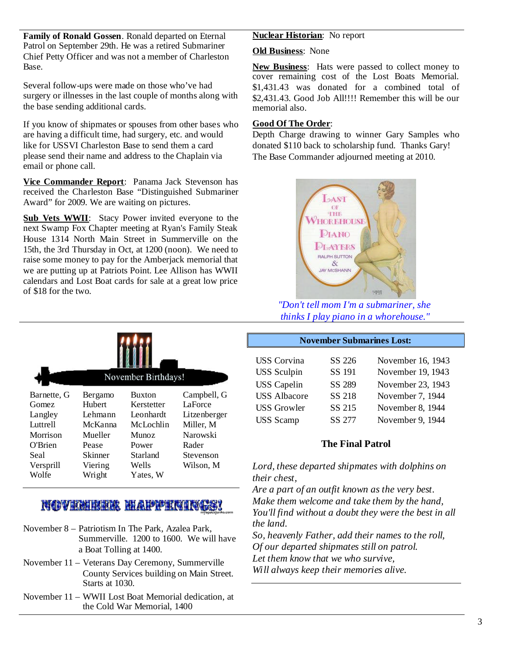**Family of Ronald Gossen**. Ronald departed on Eternal Patrol on September 29th. He was a retired Submariner Chief Petty Officer and was not a member of Charleston Base.

Several follow-ups were made on those who've had surgery or illnesses in the last couple of months along with the base sending additional cards.

If you know of shipmates or spouses from other bases who are having a difficult time, had surgery, etc. and would like for USSVI Charleston Base to send them a card please send their name and address to the Chaplain via email or phone call.

**Vice Commander Report**: Panama Jack Stevenson has received the Charleston Base "Distinguished Submariner Award" for 2009. We are waiting on pictures.

**Sub Vets WWII**: Stacy Power invited everyone to the next Swamp Fox Chapter meeting at Ryan's Family Steak House 1314 North Main Street in Summerville on the 15th, the 3rd Thursday in Oct, at 1200 (noon). We need to raise some money to pay for the Amberjack memorial that we are putting up at Patriots Point. Lee Allison has WWII calendars and Lost Boat cards for sale at a great low price of \$18 for the two.

|             | November Birthdays! |               |              |  |
|-------------|---------------------|---------------|--------------|--|
| Barnette, G | Bergamo             | <b>Buxton</b> | Campbell, G  |  |
| Gomez       | Hubert              | Kerstetter    | LaForce      |  |
| Langley     | I ehmann            | Leonhardt     | Litzenberger |  |
| Luttrell    | McKanna             | McLochlin     | Miller, M    |  |
| Morrison    | Mueller             | Munoz         | Narowski     |  |
| O'Brien     | Pease               | Power         | Rader        |  |
| <b>Seal</b> | Skinner             | Starland      | Stevenson    |  |
| Versprill   | Viering             | Wells         | Wilson, M    |  |
| Wolfe       | Wright              | Yates, W      |              |  |

# NOVEMBER HAPPENINGS!

- November 8 Patriotism In The Park, Azalea Park, Summerville. 1200 to 1600. We will have a Boat Tolling at 1400.
- November 11 Veterans Day Ceremony, Summerville County Services building on Main Street. Starts at 1030.
- November 11 WWII Lost Boat Memorial dedication, at the Cold War Memorial, 1400

## **Nuclear Historian**: No report

### **Old Business**: None

**New Business**: Hats were passed to collect money to cover remaining cost of the Lost Boats Memorial. \$1,431.43 was donated for a combined total of \$2,431.43. Good Job All!!!! Remember this will be our memorial also.

## **Good Of The Order**:

Depth Charge drawing to winner Gary Samples who donated \$110 back to scholarship fund. Thanks Gary! The Base Commander adjourned meeting at 2010.



*"Don't tell mom I'm a submariner, she thinks I play piano in a whorehouse."*

#### **November Submarines Lost:**

| <b>USS</b> Corvina  | SS 226 | November 16, 1943 |
|---------------------|--------|-------------------|
| <b>USS</b> Sculpin  | SS 191 | November 19, 1943 |
| <b>USS</b> Capelin  | SS 289 | November 23, 1943 |
| <b>USS Albacore</b> | SS 218 | November 7, 1944  |
| <b>USS</b> Growler  | SS 215 | November 8, 1944  |
| <b>USS</b> Scamp    | SS 277 | November 9, 1944  |

# **The Final Patrol**

*Lord, these departed shipmates with dolphins on their chest,*

*Are a part of an outfit known as the very best. Make them welcome and take them by the hand, You'll find without a doubt they were the best in all the land.*

*So, heavenly Father, add their names to the roll, Of our departed shipmates still on patrol. Let them know that we who survive, Will always keep their memories alive.*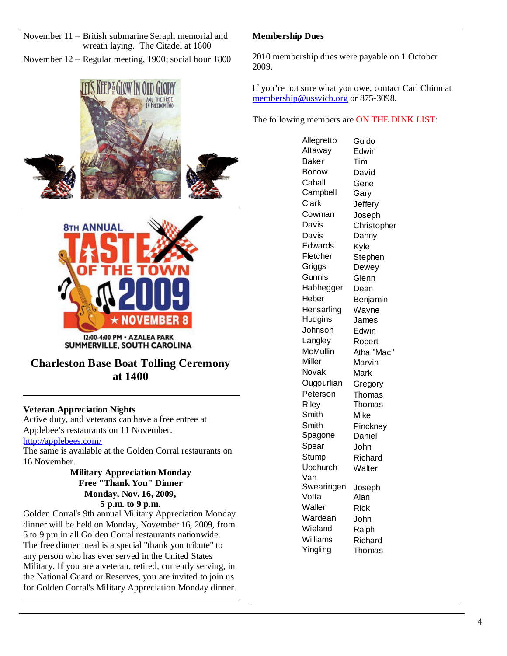| November 11 – British submarine Seraph memorial and   |
|-------------------------------------------------------|
| wreath laying. The Citadel at 1600                    |
| November 12 – Regular meeting, 1900; social hour 1800 |





# **Charleston Base Boat Tolling Ceremony at 1400**

# **Veteran Appreciation Nights**

Active duty, and veterans can have a free entree at Applebee's restaurants on 11 November.

### http://applebees.com/

The same is available at the Golden Corral restaurants on 16 November.

### **Military Appreciation Monday Free "Thank You" Dinner Monday, Nov. 16, 2009, 5 p.m. to 9 p.m.**

Golden Corral's 9th annual Military Appreciation Monday dinner will be held on Monday, November 16, 2009, from 5 to 9 pm in all Golden Corral restaurants nationwide. The free dinner meal is a special "thank you tribute" to any person who has ever served in the United States Military. If you are a veteran, retired, currently serving, in the National Guard or Reserves, you are invited to join us for Golden Corral's Military Appreciation Monday dinner.

# **Membership Dues**

2010 membership dues were payable on 1 October 2009.

If you're not sure what you owe, contact Carl Chinn at membership@ussvicb.org or 875-3098.

The following members are ON THE DINK LIST:

Allegretto Guido Attaway Edwin Baker Tim Bonow David Cahall Gene Campbell Gary Clark Jeffery Cowman Joseph Davis Christopher Davis Danny Edwards Kyle Fletcher Stephen<br>Griggs Dewey Dewey Gunnis Glenn Habhegger Dean Heber Benjamin Hensarling Wayne Hudgins James Johnson Edwin Langley Robert McMullin Atha "Mac" Miller Marvin Novak Mark Ougourlian Gregory Peterson Thomas Riley Thomas Smith Mike Smith Pinckney Spagone Daniel Spear John Stump Richard Upchurch Walter Van Swearingen Joseph Votta Alan Waller Rick Wardean John Wieland Ralph Williams Richard<br>Yingling Thomas Thomas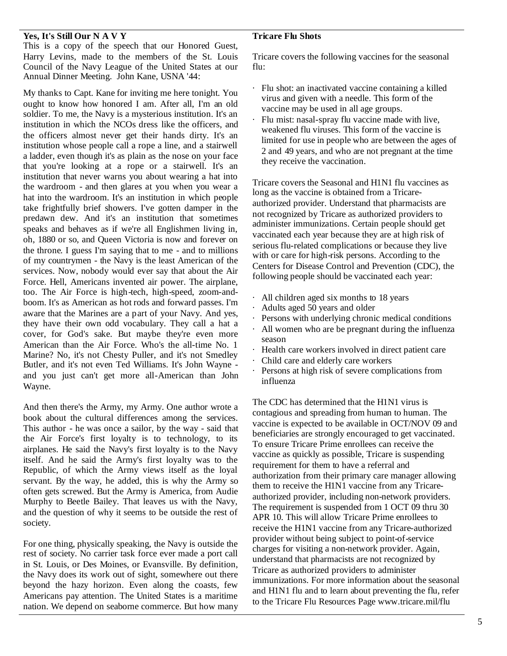### **Yes, It's Still Our N A V Y**

This is a copy of the speech that our Honored Guest, Harry Levins, made to the members of the St. Louis Council of the Navy League of the United States at our Annual Dinner Meeting. John Kane, USNA '44:

My thanks to Capt. Kane for inviting me here tonight. You ought to know how honored I am. After all, I'm an old soldier. To me, the Navy is a mysterious institution. It's an institution in which the NCOs dress like the officers, and the officers almost never get their hands dirty. It's an institution whose people call a rope a line, and a stairwell a ladder, even though it's as plain as the nose on your face that you're looking at a rope or a stairwell. It's an institution that never warns you about wearing a hat into the wardroom - and then glares at you when you wear a hat into the wardroom. It's an institution in which people take frightfully brief showers. I've gotten damper in the predawn dew. And it's an institution that sometimes speaks and behaves as if we're all Englishmen living in, oh, 1880 or so, and Queen Victoria is now and forever on the throne. I guess I'm saying that to me - and to millions of my countrymen - the Navy is the least American of the services. Now, nobody would ever say that about the Air Force. Hell, Americans invented air power. The airplane, too. The Air Force is high-tech, high-speed, zoom-andboom. It's as American as hot rods and forward passes. I'm aware that the Marines are a part of your Navy. And yes, aware that the widthes are a part of your ivavy. And yes,<br>they have their own odd vocabulary. They call a hat a cover, for God's sake. But maybe they're even more American than the Air Force. Who's the all-time No. 1 Marine? No, it's not Chesty Puller, and it's not Smedley Butler, and it's not even Ted Williams. It's John Wayne and you just can't get more all-American than John Wayne.

And then there's the Army, my Army. One author wrote a book about the cultural differences among the services. This author - he was once a sailor, by the way - said that the Air Force's first loyalty is to technology, to its airplanes. He said the Navy's first loyalty is to the Navy itself. And he said the Army's first loyalty was to the Republic, of which the Army views itself as the loyal servant. By the way, he added, this is why the Army so often gets screwed. But the Army is America, from Audie Murphy to Beetle Bailey. That leaves us with the Navy, and the question of why it seems to be outside the rest of society.

For one thing, physically speaking, the Navy is outside the rest of society. No carrier task force ever made a port call in St. Louis, or Des Moines, or Evansville. By definition, the Navy does its work out of sight, somewhere out there beyond the hazy horizon. Even along the coasts, few Americans pay attention. The United States is a maritime nation. We depend on seaborne commerce. But how many

## **Tricare Flu Shots**

Tricare covers the following vaccines for the seasonal flu:

- · Flu shot: an inactivated vaccine containing a killed virus and given with a needle. This form of the vaccine may be used in all age groups.
- Flu mist: nasal-spray flu vaccine made with live, weakened flu viruses. This form of the vaccine is limited for use in people who are between the ages of 2 and 49 years, and who are not pregnant at the time they receive the vaccination.

Tricare covers the Seasonal and H1N1 flu vaccines as long as the vaccine is obtained from a Tricareauthorized provider. Understand that pharmacists are not recognized by Tricare as authorized providers to administer immunizations. Certain people should get vaccinated each year because they are at high risk of serious flu-related complications or because they live with or care for high-risk persons. According to the Centers for Disease Control and Prevention (CDC), the following people should be vaccinated each year:

- · All children aged six months to 18 years
- Adults aged 50 years and older
- Persons with underlying chronic medical conditions
- All women who are be pregnant during the influenza season
- Health care workers involved in direct patient care
- · Child care and elderly care workers
- Persons at high risk of severe complications from influenza

The CDC has determined that the H1N1 virus is contagious and spreading from human to human. The vaccine is expected to be available in OCT/NOV 09 and beneficiaries are strongly encouraged to get vaccinated. To ensure Tricare Prime enrollees can receive the vaccine as quickly as possible, Tricare is suspending requirement for them to have a referral and authorization from their primary care manager allowing them to receive the H1N1 vaccine from any Tricareauthorized provider, including non-network providers. The requirement is suspended from 1 OCT 09 thru 30 APR 10. This will allow Tricare Prime enrollees to receive the H1N1 vaccine from any Tricare-authorized provider without being subject to point-of-service charges for visiting a non-network provider. Again, understand that pharmacists are not recognized by Tricare as authorized providers to administer immunizations. For more information about the seasonal and H1N1 flu and to learn about preventing the flu, refer to the Tricare Flu Resources Page www.tricare.mil/flu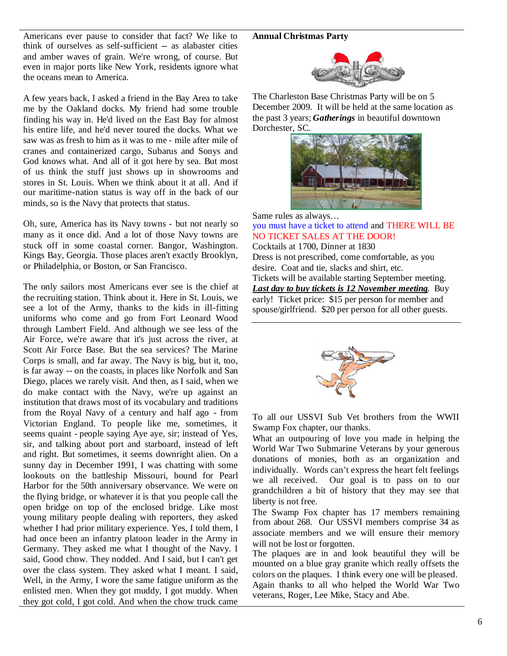#### **Annual Christmas Party**

Americans ever pause to consider that fact? We like to think of ourselves as self-sufficient -- as alabaster cities and amber waves of grain. We're wrong, of course. But even in major ports like New York, residents ignore what the oceans mean to America.

A few years back, I asked a friend in the Bay Area to take me by the Oakland docks. My friend had some trouble finding his way in. He'd lived on the East Bay for almost his entire life, and he'd never toured the docks. What we saw was as fresh to him as it was to me - mile after mile of cranes and containerized cargo, Subarus and Sonys and God knows what. And all of it got here by sea. But most of us think the stuff just shows up in showrooms and stores in St. Louis. When we think about it at all. And if our maritime-nation status is way off in the back of our minds, so is the Navy that protects that status.

Oh, sure, America has its Navy towns - but not nearly so many as it once did. And a lot of those Navy towns are stuck off in some coastal corner. Bangor, Washington. Kings Bay, Georgia. Those places aren't exactly Brooklyn, or Philadelphia, or Boston, or San Francisco.

The only sailors most Americans ever see is the chief at the recruiting station. Think about it. Here in St. Louis, we see a lot of the Army, thanks to the kids in ill-fitting uniforms who come and go from Fort Leonard Wood through Lambert Field. And although we see less of the Air Force, we're aware that it's just across the river, at Scott Air Force Base. But the sea services? The Marine Corps is small, and far away. The Navy is big, but it, too, is far away -- on the coasts, in places like Norfolk and San Diego, places we rarely visit. And then, as I said, when we do make contact with the Navy, we're up against an institution that draws most of its vocabulary and traditions from the Royal Navy of a century and half ago - from Victorian England. To people like me, sometimes, it seems quaint - people saying Aye aye, sir; instead of Yes, sir, and talking about port and starboard, instead of left and right. But sometimes, it seems downright alien. On a sunny day in December 1991, I was chatting with some lookouts on the battleship Missouri, bound for Pearl Harbor for the 50th anniversary observance. We were on the flying bridge, or whatever it is that you people call the open bridge on top of the enclosed bridge. Like most young military people dealing with reporters, they asked whether I had prior military experience. Yes, I told them, I had once been an infantry platoon leader in the Army in Germany. They asked me what I thought of the Navy. I said, Good chow. They nodded. And I said, but I can't get over the class system. They asked what I meant. I said, Well, in the Army, I wore the same fatigue uniform as the enlisted men. When they got muddy, I got muddy. When they got cold, I got cold. And when the chow truck came



The Charleston Base Christmas Party will be on 5 December 2009. It will be held at the same location as the past 3 years; *Gatherings* in beautiful downtown Dorchester, SC.



Same rules as always…

you must have a ticket to attend and THERE WILL BE NO TICKET SALES AT THE DOOR! Cocktails at 1700, Dinner at 1830 Dress is not prescribed, come comfortable, as you desire. Coat and tie, slacks and shirt, etc.

Tickets will be available starting September meeting. *Last day to buy tickets is 12 November meeting*. Buy early! Ticket price: \$15 per person for member and spouse/girlfriend. \$20 per person for all other guests.



To all our USSVI Sub Vet brothers from the WWII Swamp Fox chapter, our thanks.

What an outpouring of love you made in helping the World War Two Submarine Veterans by your generous donations of monies, both as an organization and individually. Words can't express the heart felt feelings we all received. Our goal is to pass on to our grandchildren a bit of history that they may see that liberty is not free.

The Swamp Fox chapter has 17 members remaining from about 268. Our USSVI members comprise 34 as associate members and we will ensure their memory will not be lost or forgotten.

The plaques are in and look beautiful they will be mounted on a blue gray granite which really offsets the colors on the plaques. I think every one will be pleased. Again thanks to all who helped the World War Two veterans, Roger, Lee Mike, Stacy and Abe.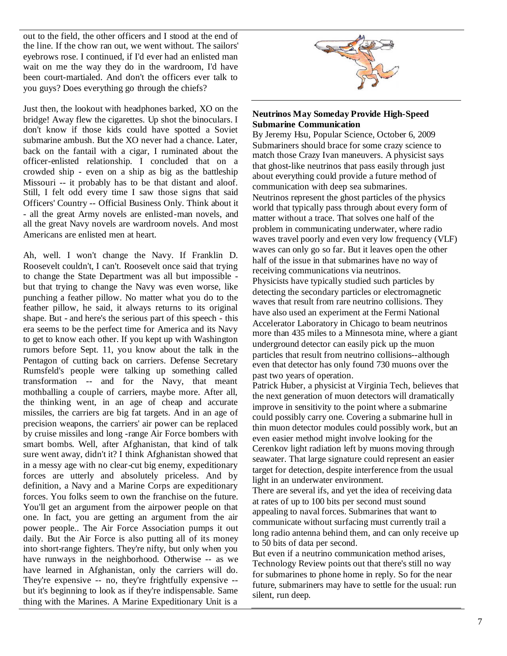out to the field, the other officers and I stood at the end of the line. If the chow ran out, we went without. The sailors' eyebrows rose. I continued, if I'd ever had an enlisted man wait on me the way they do in the wardroom, I'd have been court-martialed. And don't the officers ever talk to you guys? Does everything go through the chiefs?

Just then, the lookout with headphones barked, XO on the bridge! Away flew the cigarettes. Up shot the binoculars. I don't know if those kids could have spotted a Soviet submarine ambush. But the XO never had a chance. Later, back on the fantail with a cigar, I ruminated about the officer-enlisted relationship. I concluded that on a crowded ship - even on a ship as big as the battleship Missouri -- it probably has to be that distant and aloof. Still, I felt odd every time I saw those signs that said Officers' Country -- Official Business Only. Think about it - all the great Army novels are enlisted-man novels, and all the great Navy novels are wardroom novels. And most Americans are enlisted men at heart.

Ah, well. I won't change the Navy. If Franklin D. Roosevelt couldn't, I can't. Roosevelt once said that trying to change the State Department was all but impossible but that trying to change the Navy was even worse, like punching a feather pillow. No matter what you do to the feather pillow, he said, it always returns to its original shape. But - and here's the serious part of this speech - this era seems to be the perfect time for America and its Navy to get to know each other. If you kept up with Washington rumors before Sept. 11, you know about the talk in the Pentagon of cutting back on carriers. Defense Secretary Rumsfeld's people were talking up something called transformation -- and for the Navy, that meant mothballing a couple of carriers, maybe more. After all, the thinking went, in an age of cheap and accurate missiles, the carriers are big fat targets. And in an age of precision weapons, the carriers' air power can be replaced by cruise missiles and long -range Air Force bombers with smart bombs. Well, after Afghanistan, that kind of talk sure went away, didn't it? I think Afghanistan showed that in a messy age with no clear-cut big enemy, expeditionary forces are utterly and absolutely priceless. And by definition, a Navy and a Marine Corps are expeditionary forces. You folks seem to own the franchise on the future. You'll get an argument from the airpower people on that one. In fact, you are getting an argument from the air power people.. The Air Force Association pumps it out daily. But the Air Force is also putting all of its money into short-range fighters. They're nifty, but only when you have runways in the neighborhood. Otherwise -- as we have learned in Afghanistan, only the carriers will do. They're expensive -- no, they're frightfully expensive - but it's beginning to look as if they're indispensable. Same thing with the Marines. A Marine Expeditionary Unit is a



## **Neutrinos May Someday Provide High-Speed Submarine Communication**

By Jeremy Hsu, Popular Science, October 6, 2009 Submariners should brace for some crazy science to match those Crazy Ivan maneuvers. A physicist says that ghost-like neutrinos that pass easily through just about everything could provide a future method of communication with deep sea submarines. Neutrinos represent the ghost particles of the physics world that typically pass through about every form of matter without a trace. That solves one half of the problem in communicating underwater, where radio waves travel poorly and even very low frequency (VLF) waves can only go so far. But it leaves open the other half of the issue in that submarines have no way of receiving communications via neutrinos. Physicists have typically studied such particles by detecting the secondary particles or electromagnetic waves that result from rare neutrino collisions. They have also used an experiment at the Fermi National Accelerator Laboratory in Chicago to beam neutrinos more than 435 miles to a Minnesota mine, where a giant underground detector can easily pick up the muon particles that result from neutrino collisions--although even that detector has only found 730 muons over the past two years of operation.

Patrick Huber, a physicist at Virginia Tech, believes that the next generation of muon detectors will dramatically improve in sensitivity to the point where a submarine could possibly carry one. Covering a submarine hull in thin muon detector modules could possibly work, but an even easier method might involve looking for the Cerenkov light radiation left by muons moving through seawater. That large signature could represent an easier target for detection, despite interference from the usual light in an underwater environment.

There are several ifs, and yet the idea of receiving data at rates of up to 100 bits per second must sound appealing to naval forces. Submarines that want to communicate without surfacing must currently trail a long radio antenna behind them, and can only receive up to 50 bits of data per second.

But even if a neutrino communication method arises, Technology Review points out that there's still no way for submarines to phone home in reply. So for the near future, submariners may have to settle for the usual: run silent, run deep.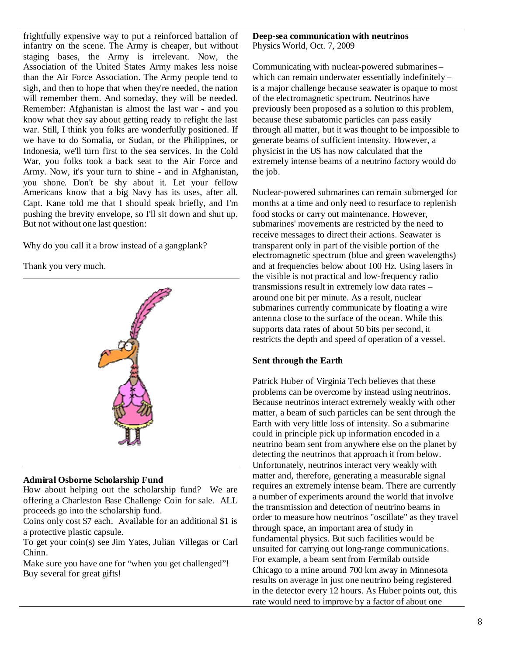frightfully expensive way to put a reinforced battalion of infantry on the scene. The Army is cheaper, but without staging bases, the Army is irrelevant. Now, the Association of the United States Army makes less noise than the Air Force Association. The Army people tend to sigh, and then to hope that when they're needed, the nation will remember them. And someday, they will be needed. Remember: Afghanistan is almost the last war - and you know what they say about getting ready to refight the last war. Still, I think you folks are wonderfully positioned. If we have to do Somalia, or Sudan, or the Philippines, or Indonesia, we'll turn first to the sea services. In the Cold War, you folks took a back seat to the Air Force and Army. Now, it's your turn to shine - and in Afghanistan, you shone. Don't be shy about it. Let your fellow Americans know that a big Navy has its uses, after all. Capt. Kane told me that I should speak briefly, and I'm pushing the brevity envelope, so I'll sit down and shut up. But not without one last question:

Why do you call it a brow instead of a gangplank?

Thank you very much.



### **Admiral Osborne Scholarship Fund**

How about helping out the scholarship fund? We are offering a Charleston Base Challenge Coin for sale. ALL proceeds go into the scholarship fund.

Coins only cost \$7 each. Available for an additional \$1 is a protective plastic capsule.

To get your coin(s) see Jim Yates, Julian Villegas or Carl Chinn.

Make sure you have one for "when you get challenged"! Buy several for great gifts!

### **Deep-sea communication with neutrinos** Physics World, Oct. 7, 2009

Communicating with nuclear-powered submarines – which can remain underwater essentially indefinitely – is a major challenge because seawater is opaque to most of the electromagnetic spectrum. Neutrinos have previously been proposed as a solution to this problem, because these subatomic particles can pass easily through all matter, but it was thought to be impossible to generate beams of sufficient intensity. However, a physicist in the US has now calculated that the extremely intense beams of a neutrino factory would do the job.

Nuclear-powered submarines can remain submerged for months at a time and only need to resurface to replenish food stocks or carry out maintenance. However, submarines' movements are restricted by the need to receive messages to direct their actions. Seawater is transparent only in part of the visible portion of the electromagnetic spectrum (blue and green wavelengths) and at frequencies below about 100 Hz. Using lasers in the visible is not practical and low-frequency radio transmissions result in extremely low data rates – around one bit per minute. As a result, nuclear submarines currently communicate by floating a wire antenna close to the surface of the ocean. While this supports data rates of about 50 bits per second, it restricts the depth and speed of operation of a vessel.

# **Sent through the Earth**

Patrick Huber of Virginia Tech believes that these problems can be overcome by instead using neutrinos. Because neutrinos interact extremely weakly with other matter, a beam of such particles can be sent through the Earth with very little loss of intensity. So a submarine could in principle pick up information encoded in a neutrino beam sent from anywhere else on the planet by detecting the neutrinos that approach it from below. Unfortunately, neutrinos interact very weakly with matter and, therefore, generating a measurable signal requires an extremely intense beam. There are currently a number of experiments around the world that involve the transmission and detection of neutrino beams in order to measure how neutrinos "oscillate" as they travel through space, an important area of study in fundamental physics. But such facilities would be unsuited for carrying out long-range communications. For example, a beam sent from Fermilab outside Chicago to a mine around 700 km away in Minnesota results on average in just one neutrino being registered in the detector every 12 hours. As Huber points out, this rate would need to improve by a factor of about one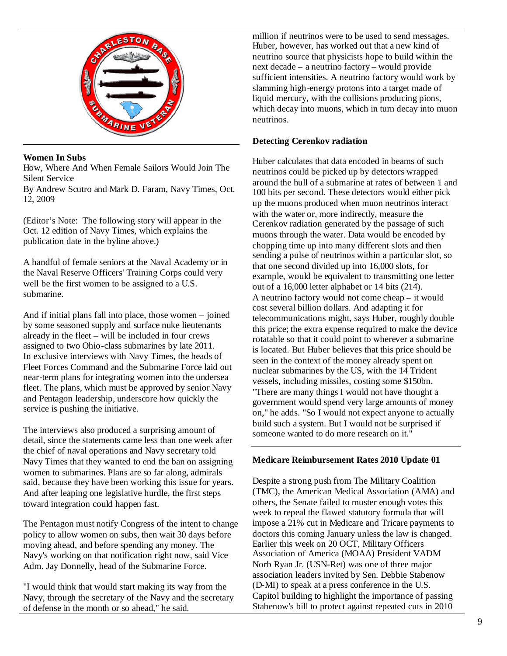

# **Women In Subs**

How, Where And When Female Sailors Would Join The Silent Service

By Andrew Scutro and Mark D. Faram, Navy Times, Oct. 12, 2009

(Editor's Note: The following story will appear in the Oct. 12 edition of Navy Times, which explains the publication date in the byline above.)

A handful of female seniors at the Naval Academy or in the Naval Reserve Officers' Training Corps could very well be the first women to be assigned to a U.S. submarine.

And if initial plans fall into place, those women – joined by some seasoned supply and surface nuke lieutenants already in the fleet – will be included in four crews assigned to two Ohio-class submarines by late 2011. In exclusive interviews with Navy Times, the heads of Fleet Forces Command and the Submarine Force laid out near-term plans for integrating women into the undersea fleet. The plans, which must be approved by senior Navy and Pentagon leadership, underscore how quickly the service is pushing the initiative.

The interviews also produced a surprising amount of detail, since the statements came less than one week after the chief of naval operations and Navy secretary told Navy Times that they wanted to end the ban on assigning women to submarines. Plans are so far along, admirals said, because they have been working this issue for years. And after leaping one legislative hurdle, the first steps toward integration could happen fast.

The Pentagon must notify Congress of the intent to change policy to allow women on subs, then wait 30 days before moving ahead, and before spending any money. The Navy's working on that notification right now, said Vice Adm. Jay Donnelly, head of the Submarine Force.

"I would think that would start making its way from the Navy, through the secretary of the Navy and the secretary of defense in the month or so ahead," he said.

million if neutrinos were to be used to send messages. Huber, however, has worked out that a new kind of neutrino source that physicists hope to build within the next decade – a neutrino factory – would provide sufficient intensities. A neutrino factory would work by slamming high-energy protons into a target made of liquid mercury, with the collisions producing pions, which decay into muons, which in turn decay into muon neutrinos.

## **Detecting Cerenkov radiation**

Huber calculates that data encoded in beams of such neutrinos could be picked up by detectors wrapped around the hull of a submarine at rates of between 1 and 100 bits per second. These detectors would either pick up the muons produced when muon neutrinos interact with the water or, more indirectly, measure the Cerenkov radiation generated by the passage of such muons through the water. Data would be encoded by chopping time up into many different slots and then sending a pulse of neutrinos within a particular slot, so that one second divided up into 16,000 slots, for example, would be equivalent to transmitting one letter out of a 16,000 letter alphabet or 14 bits (214). A neutrino factory would not come cheap – it would cost several billion dollars. And adapting it for telecommunications might, says Huber, roughly double this price; the extra expense required to make the device rotatable so that it could point to wherever a submarine is located. But Huber believes that this price should be seen in the context of the money already spent on nuclear submarines by the US, with the 14 Trident vessels, including missiles, costing some \$150bn. "There are many things I would not have thought a government would spend very large amounts of money on," he adds. "So I would not expect anyone to actually build such a system. But I would not be surprised if someone wanted to do more research on it."

### **Medicare Reimbursement Rates 2010 Update 01**

Despite a strong push from The Military Coalition (TMC), the American Medical Association (AMA) and others, the Senate failed to muster enough votes this week to repeal the flawed statutory formula that will impose a 21% cut in Medicare and Tricare payments to doctors this coming January unless the law is changed. Earlier this week on 20 OCT, Military Officers Association of America (MOAA) President VADM Norb Ryan Jr. (USN-Ret) was one of three major association leaders invited by Sen. Debbie Stabenow (D-MI) to speak at a press conference in the U.S. Capitol building to highlight the importance of passing Stabenow's bill to protect against repeated cuts in 2010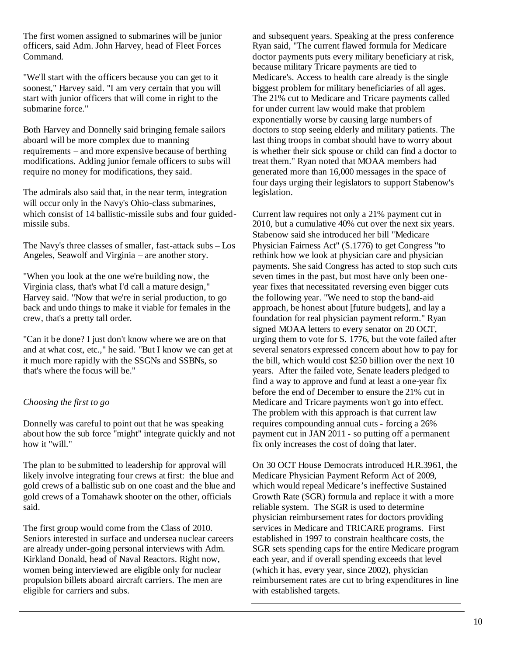The first women assigned to submarines will be junior officers, said Adm. John Harvey, head of Fleet Forces Command.

"We'll start with the officers because you can get to it soonest," Harvey said. "I am very certain that you will start with junior officers that will come in right to the submarine force."

Both Harvey and Donnelly said bringing female sailors aboard will be more complex due to manning requirements – and more expensive because of berthing modifications. Adding junior female officers to subs will require no money for modifications, they said.

The admirals also said that, in the near term, integration will occur only in the Navy's Ohio-class submarines, which consist of 14 ballistic-missile subs and four guidedmissile subs.

The Navy's three classes of smaller, fast-attack subs – Los Angeles, Seawolf and Virginia – are another story.

"When you look at the one we're building now, the Virginia class, that's what I'd call a mature design," Harvey said. "Now that we're in serial production, to go back and undo things to make it viable for females in the crew, that's a pretty tall order.

"Can it be done? I just don't know where we are on that and at what cost, etc.," he said. "But I know we can get at it much more rapidly with the SSGNs and SSBNs, so that's where the focus will be."

# *Choosing the first to go*

Donnelly was careful to point out that he was speaking about how the sub force "might" integrate quickly and not how it "will."

The plan to be submitted to leadership for approval will likely involve integrating four crews at first: the blue and gold crews of a ballistic sub on one coast and the blue and gold crews of a Tomahawk shooter on the other, officials said.

The first group would come from the Class of 2010. Seniors interested in surface and undersea nuclear careers are already under-going personal interviews with Adm. Kirkland Donald, head of Naval Reactors. Right now, women being interviewed are eligible only for nuclear propulsion billets aboard aircraft carriers. The men are eligible for carriers and subs.

and subsequent years. Speaking at the press conference Ryan said, "The current flawed formula for Medicare doctor payments puts every military beneficiary at risk, because military Tricare payments are tied to Medicare's. Access to health care already is the single biggest problem for military beneficiaries of all ages. The 21% cut to Medicare and Tricare payments called for under current law would make that problem exponentially worse by causing large numbers of doctors to stop seeing elderly and military patients. The last thing troops in combat should have to worry about is whether their sick spouse or child can find a doctor to treat them." Ryan noted that MOAA members had generated more than 16,000 messages in the space of four days urging their legislators to support Stabenow's legislation.

Current law requires not only a 21% payment cut in 2010, but a cumulative 40% cut over the next six years. Stabenow said she introduced her bill "Medicare Physician Fairness Act" (S.1776) to get Congress "to rethink how we look at physician care and physician payments. She said Congress has acted to stop such cuts seven times in the past, but most have only been oneyear fixes that necessitated reversing even bigger cuts the following year. "We need to stop the band-aid approach, be honest about [future budgets], and lay a foundation for real physician payment reform." Ryan signed MOAA letters to every senator on 20 OCT, urging them to vote for S. 1776, but the vote failed after several senators expressed concern about how to pay for the bill, which would cost \$250 billion over the next 10 years. After the failed vote, Senate leaders pledged to find a way to approve and fund at least a one-year fix before the end of December to ensure the 21% cut in Medicare and Tricare payments won't go into effect. The problem with this approach is that current law requires compounding annual cuts - forcing a 26% payment cut in JAN 2011 - so putting off a permanent fix only increases the cost of doing that later.

On 30 OCT House Democrats introduced H.R.3961, the Medicare Physician Payment Reform Act of 2009, which would repeal Medicare's ineffective Sustained Growth Rate (SGR) formula and replace it with a more reliable system. The SGR is used to determine physician reimbursement rates for doctors providing services in Medicare and TRICARE programs. First established in 1997 to constrain healthcare costs, the SGR sets spending caps for the entire Medicare program each year, and if overall spending exceeds that level (which it has, every year, since 2002), physician reimbursement rates are cut to bring expenditures in line with established targets.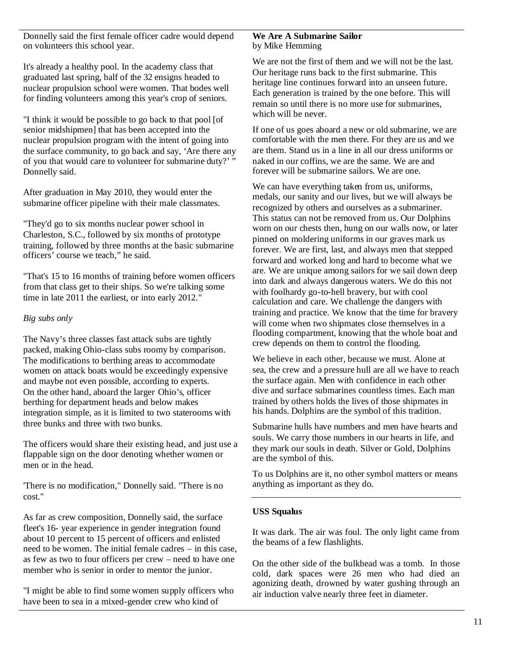Donnelly said the first female officer cadre would depend on volunteers this school year.

It's already a healthy pool. In the academy class that graduated last spring, half of the 32 ensigns headed to nuclear propulsion school were women. That bodes well for finding volunteers among this year's crop of seniors.

"I think it would be possible to go back to that pool [of senior midshipmen] that has been accepted into the nuclear propulsion program with the intent of going into the surface community, to go back and say, 'Are there any of you that would care to volunteer for submarine duty?'" Donnelly said.

After graduation in May 2010, they would enter the submarine officer pipeline with their male classmates.

"They'd go to six months nuclear power school in Charleston, S.C., followed by six months of prototype training, followed by three months at the basic submarine officers' course we teach," he said.

"That's 15 to 16 months of training before women officers from that class get to their ships. So we're talking some time in late 2011 the earliest, or into early 2012."

## *Big subs only*

The Navy's three classes fast attack subs are tightly packed, making Ohio-class subs roomy by comparison. The modifications to berthing areas to accommodate women on attack boats would be exceedingly expensive and maybe not even possible, according to experts. On the other hand, aboard the larger Ohio's, officer berthing for department heads and below makes integration simple, as it is limited to two staterooms with three bunks and three with two bunks.

The officers would share their existing head, and just use a flappable sign on the door denoting whether women or men or in the head.

'There is no modification," Donnelly said. "There is no cost."

As far as crew composition, Donnelly said, the surface fleet's 16- year experience in gender integration found about 10 percent to 15 percent of officers and enlisted need to be women. The initial female cadres – in this case, as few as two to four officers per crew – need to have one member who is senior in order to mentor the junior.

"I might be able to find some women supply officers who have been to sea in a mixed-gender crew who kind of

#### **We Are A Submarine Sailor** by Mike Hemming

We are not the first of them and we will not be the last. Our heritage runs back to the first submarine. This heritage line continues forward into an unseen future. Each generation is trained by the one before. This will remain so until there is no more use for submarines, which will be never.

If one of us goes aboard a new or old submarine, we are comfortable with the men there. For they are us and we are them. Stand us in a line in all our dress uniforms or naked in our coffins, we are the same. We are and forever will be submarine sailors. We are one.

We can have everything taken from us, uniforms, medals, our sanity and our lives, but we will always be recognized by others and ourselves as a submariner. This status can not be removed from us. Our Dolphins worn on our chests then, hung on our walls now, or later pinned on moldering uniforms in our graves mark us forever. We are first, last, and always men that stepped forward and worked long and hard to become what we are. We are unique among sailors for we sail down deep into dark and always dangerous waters. We do this not with foolhardy go-to-hell bravery, but with cool calculation and care. We challenge the dangers with training and practice. We know that the time for bravery will come when two shipmates close themselves in a flooding compartment, knowing that the whole boat and crew depends on them to control the flooding.

We believe in each other, because we must. Alone at sea, the crew and a pressure hull are all we have to reach the surface again. Men with confidence in each other dive and surface submarines countless times. Each man trained by others holds the lives of those shipmates in his hands. Dolphins are the symbol of this tradition.

Submarine hulls have numbers and men have hearts and souls. We carry those numbers in our hearts in life, and they mark our souls in death. Silver or Gold, Dolphins are the symbol of this.

To us Dolphins are it, no other symbol matters or means anything as important as they do.

# **USS Squalus**

It was dark. The air was foul. The only light came from the beams of a few flashlights.

On the other side of the bulkhead was a tomb. In those cold, dark spaces were 26 men who had died an agonizing death, drowned by water gushing through an air induction valve nearly three feet in diameter.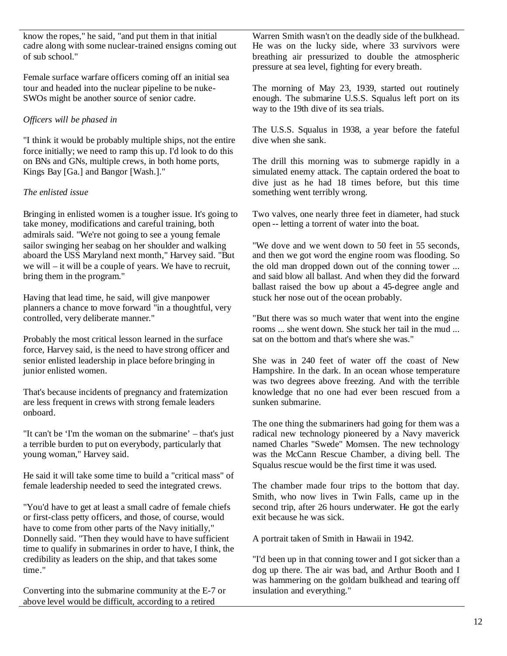know the ropes," he said, "and put them in that initial cadre along with some nuclear-trained ensigns coming out of sub school."

Female surface warfare officers coming off an initial sea tour and headed into the nuclear pipeline to be nuke-SWOs might be another source of senior cadre.

# *Officers will be phased in*

"I think it would be probably multiple ships, not the entire force initially; we need to ramp this up. I'd look to do this on BNs and GNs, multiple crews, in both home ports, Kings Bay [Ga.] and Bangor [Wash.]."

# *The enlisted issue*

Bringing in enlisted women is a tougher issue. It's going to take money, modifications and careful training, both admirals said. "We're not going to see a young female sailor swinging her seabag on her shoulder and walking aboard the USS Maryland next month," Harvey said. "But we will – it will be a couple of years. We have to recruit, bring them in the program."

Having that lead time, he said, will give manpower planners a chance to move forward "in a thoughtful, very controlled, very deliberate manner."

Probably the most critical lesson learned in the surface force, Harvey said, is the need to have strong officer and senior enlisted leadership in place before bringing in junior enlisted women.

That's because incidents of pregnancy and fraternization are less frequent in crews with strong female leaders onboard.

"It can't be 'I'm the woman on the submarine' – that's just a terrible burden to put on everybody, particularly that young woman," Harvey said.

He said it will take some time to build a "critical mass" of female leadership needed to seed the integrated crews.

"You'd have to get at least a small cadre of female chiefs or first-class petty officers, and those, of course, would have to come from other parts of the Navy initially," Donnelly said. "Then they would have to have sufficient time to qualify in submarines in order to have, I think, the credibility as leaders on the ship, and that takes some time."

Converting into the submarine community at the E-7 or above level would be difficult, according to a retired

Warren Smith wasn't on the deadly side of the bulkhead. He was on the lucky side, where 33 survivors were breathing air pressurized to double the atmospheric pressure at sea level, fighting for every breath.

The morning of May 23, 1939, started out routinely enough. The submarine U.S.S. Squalus left port on its way to the 19th dive of its sea trials.

The U.S.S. Squalus in 1938, a year before the fateful dive when she sank.

The drill this morning was to submerge rapidly in a simulated enemy attack. The captain ordered the boat to dive just as he had 18 times before, but this time something went terribly wrong.

Two valves, one nearly three feet in diameter, had stuck open -- letting a torrent of water into the boat.

"We dove and we went down to 50 feet in 55 seconds, and then we got word the engine room was flooding. So the old man dropped down out of the conning tower ... and said blow all ballast. And when they did the forward ballast raised the bow up about a 45-degree angle and stuck her nose out of the ocean probably.

"But there was so much water that went into the engine rooms ... she went down. She stuck her tail in the mud ... sat on the bottom and that's where she was."

She was in 240 feet of water off the coast of New Hampshire. In the dark. In an ocean whose temperature was two degrees above freezing. And with the terrible knowledge that no one had ever been rescued from a sunken submarine.

The one thing the submariners had going for them was a radical new technology pioneered by a Navy maverick named Charles "Swede" Momsen. The new technology was the McCann Rescue Chamber, a diving bell. The Squalus rescue would be the first time it was used.

The chamber made four trips to the bottom that day. Smith, who now lives in Twin Falls, came up in the second trip, after 26 hours underwater. He got the early exit because he was sick.

A portrait taken of Smith in Hawaii in 1942.

"I'd been up in that conning tower and I got sicker than a dog up there. The air was bad, and Arthur Booth and I was hammering on the goldarn bulkhead and tearing off insulation and everything."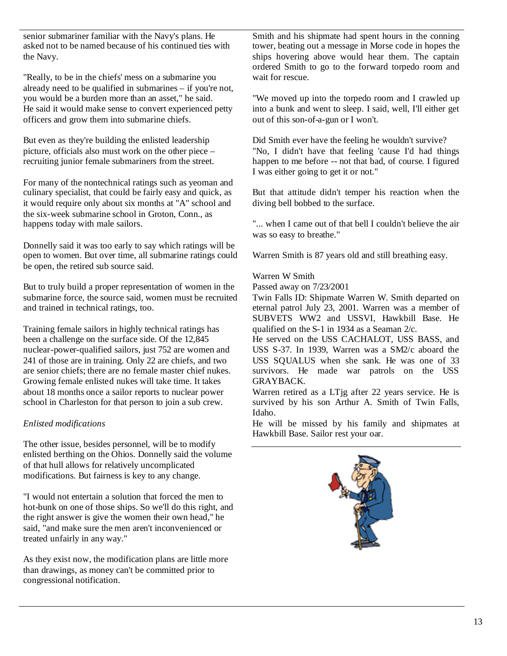senior submariner familiar with the Navy's plans. He asked not to be named because of his continued ties with the Navy.

"Really, to be in the chiefs' mess on a submarine you already need to be qualified in submarines – if you're not, you would be a burden more than an asset," he said. He said it would make sense to convert experienced petty officers and grow them into submarine chiefs.

But even as they're building the enlisted leadership picture, officials also must work on the other piece – recruiting junior female submariners from the street.

For many of the nontechnical ratings such as yeoman and culinary specialist, that could be fairly easy and quick, as it would require only about six months at "A" school and the six-week submarine school in Groton, Conn., as happens today with male sailors.

Donnelly said it was too early to say which ratings will be open to women. But over time, all submarine ratings could be open, the retired sub source said.

But to truly build a proper representation of women in the submarine force, the source said, women must be recruited and trained in technical ratings, too.

Training female sailors in highly technical ratings has been a challenge on the surface side. Of the 12,845 nuclear-power-qualified sailors, just 752 are women and 241 of those are in training. Only 22 are chiefs, and two are senior chiefs; there are no female master chief nukes. Growing female enlisted nukes will take time. It takes about 18 months once a sailor reports to nuclear power school in Charleston for that person to join a sub crew.

# *Enlisted modifications*

The other issue, besides personnel, will be to modify enlisted berthing on the Ohios. Donnelly said the volume of that hull allows for relatively uncomplicated modifications. But fairness is key to any change.

"I would not entertain a solution that forced the men to hot-bunk on one of those ships. So we'll do this right, and the right answer is give the women their own head," he said, "and make sure the men aren't inconvenienced or treated unfairly in any way."

As they exist now, the modification plans are little more than drawings, as money can't be committed prior to congressional notification.

Smith and his shipmate had spent hours in the conning tower, beating out a message in Morse code in hopes the ships hovering above would hear them. The captain ordered Smith to go to the forward torpedo room and wait for rescue.

"We moved up into the torpedo room and I crawled up into a bunk and went to sleep. I said, well, I'll either get out of this son-of-a-gun or I won't.

Did Smith ever have the feeling he wouldn't survive? "No, I didn't have that feeling 'cause I'd had things happen to me before -- not that bad, of course. I figured I was either going to get it or not."

But that attitude didn't temper his reaction when the diving bell bobbed to the surface.

"... when I came out of that bell I couldn't believe the air was so easy to breathe."

Warren Smith is 87 years old and still breathing easy.

## Warren W Smith

Passed away on 7/23/2001

Twin Falls ID: Shipmate Warren W. Smith departed on eternal patrol July 23, 2001. Warren was a member of SUBVETS WW2 and USSVI, Hawkbill Base. He qualified on the S-1 in 1934 as a Seaman 2/c.

He served on the USS CACHALOT, USS BASS, and USS S-37. In 1939, Warren was a SM2/c aboard the USS SQUALUS when she sank. He was one of 33 survivors. He made war patrols on the USS GRAYBACK.

Warren retired as a LTjg after 22 years service. He is survived by his son Arthur A. Smith of Twin Falls, Idaho.

He will be missed by his family and shipmates at Hawkbill Base. Sailor rest your oar.